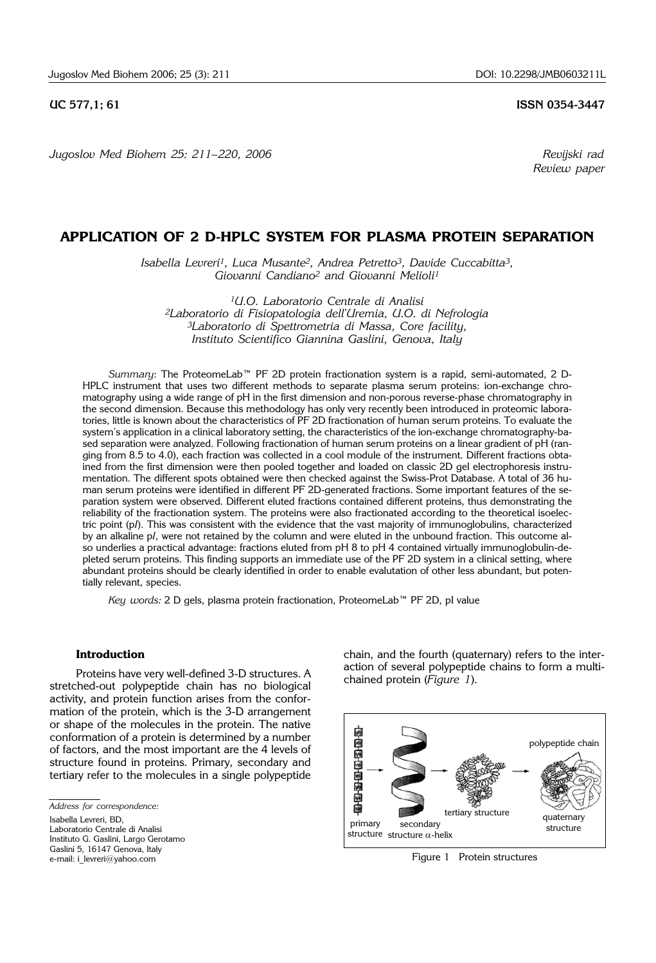*Jugoslov Med Biohem 25: 211*'*220, 2006 Revijski rad*

**UC 577.1: 61** ISSN 0354-3447

*Review paper*

# **APPLICATION OF 2 D-HPLC SYSTEM FOR PLASMA PROTEIN SEPARATION**

*Isabella Levreri1, Luca Musante2, Andrea Petretto3, Davide Cuccabitta3, Giovanni Candiano2 and Giovanni Melioli1*

*1U.O. Laboratorio Centrale di Analisi 2Laboratorio di Fisiopatologia dell*'*Uremia, U.O. di Nefrologia 3Laboratorio di Spettrometria di Massa, Core facility, Instituto Scientifico Giannina Gaslini, Genova, Italy* 

*Summary*: The ProteomeLab™ PF 2D protein fractionation system is a rapid, semi-automated, 2 D-HPLC instrument that uses two different methods to separate plasma serum proteins: ion-exchange chromatography using a wide range of pH in the first dimension and non-porous reverse-phase chromatography in the second dimension. Because this methodology has only very recently been introduced in proteomic laboratories, little is known about the characteristics of PF 2D fractionation of human serum proteins. To evaluate the system's application in a clinical laboratory setting, the characteristics of the ion-exchange chromatography-based separation were analyzed. Following fractionation of human serum proteins on a linear gradient of pH (ranging from 8.5 to 4.0), each fraction was collected in a cool module of the instrument. Different fractions obtained from the first dimension were then pooled together and loaded on classic 2D gel electrophoresis instrumentation. The different spots obtained were then checked against the Swiss-Prot Database. A total of 36 human serum proteins were identified in different PF 2D-generated fractions. Some important features of the separation system were observed. Different eluted fractions contained different proteins, thus demonstrating the reliability of the fractionation system. The proteins were also fractionated according to the theoretical isoelectric point (p*I*). This was consistent with the evidence that the vast majority of immunoglobulins, characterized by an alkaline p*I*, were not retained by the column and were eluted in the unbound fraction. This outcome also underlies a practical advantage: fractions eluted from pH 8 to pH 4 contained virtually immunoglobulin-depleted serum proteins. This finding supports an immediate use of the PF 2D system in a clinical setting, where abundant proteins should be clearly identified in order to enable evalutation of other less abundant, but potentially relevant, species.

*Key words:* 2 D gels, plasma protein fractionation, ProteomeLab™ PF 2D, pI value

#### **Introduction**

Proteins have very well-defined 3-D structures. A stretched-out polypeptide chain has no biological activity, and protein function arises from the conformation of the protein, which is the 3-D arrangement or shape of the molecules in the protein. The native conformation of a protein is determined by a number of factors, and the most important are the 4 levels of structure found in proteins. Primary, secondary and tertiary refer to the molecules in a single polypeptide

*Address for correspondence:*

Isabella Levreri, BD, Laboratorio Centrale di Analisi Instituto G. Gaslini, Largo Gerotamo Gaslini 5, 16147 Genova, Italy<br>e-mail: i\_levreri@yahoo.com

chain, and the fourth (quaternary) refers to the interaction of several polypeptide chains to form a multichained protein (*Figure 1*).



Figure 1 Protein structures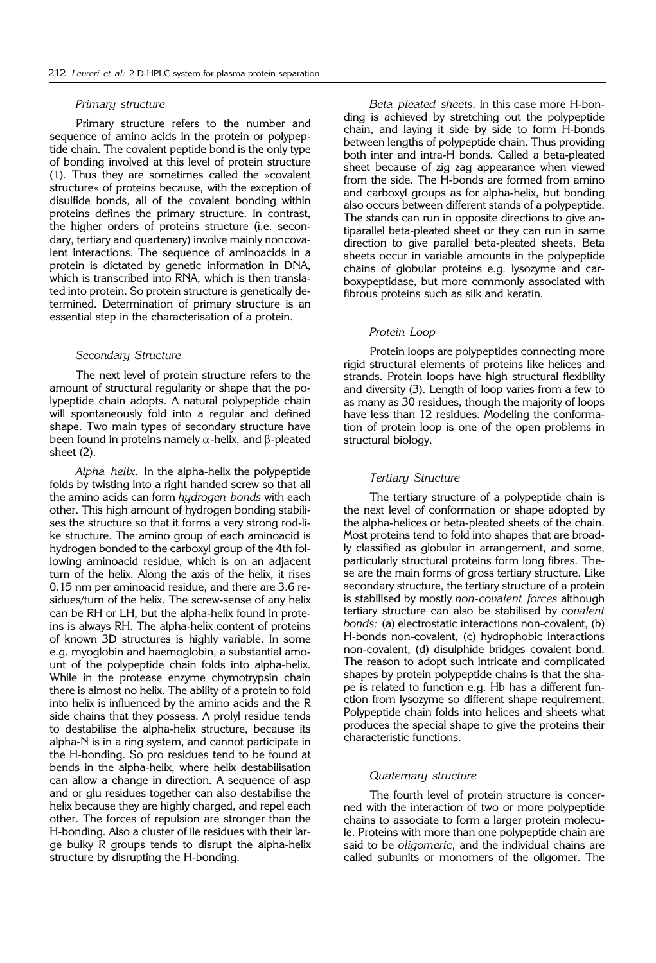#### *Primary structure*

Primary structure refers to the number and sequence of amino acids in the protein or polypeptide chain. The covalent peptide bond is the only type of bonding involved at this level of protein structure (1). Thus they are sometimes called the »covalent structure« of proteins because, with the exception of disulfide bonds, all of the covalent bonding within proteins defines the primary structure. In contrast, the higher orders of proteins structure (i.e. secondary, tertiary and quartenary) involve mainly noncovalent interactions. The sequence of aminoacids in a protein is dictated by genetic information in DNA, which is transcribed into RNA, which is then translated into protein. So protein structure is genetically determined. Determination of primary structure is an essential step in the characterisation of a protein.

#### *Secondary Structure*

The next level of protein structure refers to the amount of structural regularity or shape that the polypeptide chain adopts. A natural polypeptide chain will spontaneously fold into a regular and defined shape. Two main types of secondary structure have been found in proteins namely  $\alpha$ -helix, and  $\beta$ -pleated sheet (2).

*Alpha helix.* In the alpha-helix the polypeptide folds by twisting into a right handed screw so that all the amino acids can form *hydrogen bonds* with each other. This high amount of hydrogen bonding stabilises the structure so that it forms a very strong rod-like structure. The amino group of each aminoacid is hydrogen bonded to the carboxyl group of the 4th following aminoacid residue, which is on an adjacent turn of the helix. Along the axis of the helix, it rises 0.15 nm per aminoacid residue, and there are 3.6 residues/turn of the helix. The screw-sense of any helix can be RH or LH, but the alpha-helix found in proteins is always RH. The alpha-helix content of proteins of known 3D structures is highly variable. In some e.g. myoglobin and haemoglobin, a substantial amount of the polypeptide chain folds into alpha-helix. While in the protease enzyme chymotrypsin chain there is almost no helix. The ability of a protein to fold into helix is influenced by the amino acids and the R side chains that they possess. A prolyl residue tends to destabilise the alpha-helix structure, because its alpha-N is in a ring system, and cannot participate in the H-bonding. So pro residues tend to be found at bends in the alpha-helix, where helix destabilisation can allow a change in direction. A sequence of asp and or glu residues together can also destabilise the helix because they are highly charged, and repel each other. The forces of repulsion are stronger than the H-bonding. Also a cluster of ile residues with their large bulky R groups tends to disrupt the alpha-helix structure by disrupting the H-bonding.

*Beta pleated sheets.* In this case more H-bonding is achieved by stretching out the polypeptide chain, and laying it side by side to form H-bonds between lengths of polypeptide chain. Thus providing both inter and intra-H bonds. Called a beta-pleated sheet because of zig zag appearance when viewed from the side. The H-bonds are formed from amino and carboxyl groups as for alpha-helix, but bonding also occurs between different stands of a polypeptide. The stands can run in opposite directions to give antiparallel beta-pleated sheet or they can run in same direction to give parallel beta-pleated sheets. Beta sheets occur in variable amounts in the polypeptide chains of globular proteins e.g. lysozyme and carboxypeptidase, but more commonly associated with fibrous proteins such as silk and keratin.

#### *Protein Loop*

Protein loops are polypeptides connecting more rigid structural elements of proteins like helices and strands. Protein loops have high structural flexibility and diversity (3). Length of loop varies from a few to as many as 30 residues, though the majority of loops have less than 12 residues. Modeling the conformation of protein loop is one of the open problems in structural biology.

#### *Tertiary Structure*

The tertiary structure of a polypeptide chain is the next level of conformation or shape adopted by the alpha-helices or beta-pleated sheets of the chain. Most proteins tend to fold into shapes that are broadly classified as globular in arrangement, and some, particularly structural proteins form long fibres. These are the main forms of gross tertiary structure. Like secondary structure, the tertiary structure of a protein is stabilised by mostly *non*-*covalent forces* although tertiary structure can also be stabilised by *covalent bonds:* (a) electrostatic interactions non-covalent, (b) H-bonds non-covalent, (c) hydrophobic interactions non-covalent, (d) disulphide bridges covalent bond. The reason to adopt such intricate and complicated shapes by protein polypeptide chains is that the shape is related to function e.g. Hb has a different function from lysozyme so different shape requirement. Polypeptide chain folds into helices and sheets what produces the special shape to give the proteins their characteristic functions.

#### *Quaternary structure*

The fourth level of protein structure is concerned with the interaction of two or more polypeptide chains to associate to form a larger protein molecule. Proteins with more than one polypeptide chain are said to be *oligomeric*, and the individual chains are called subunits or monomers of the oligomer. The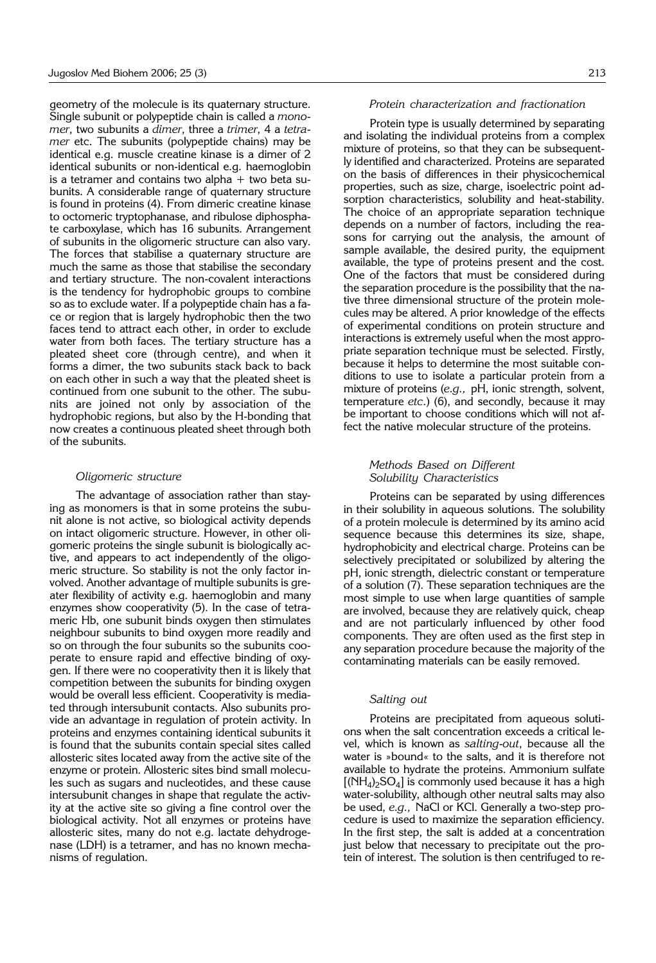geometry of the molecule is its quaternary structure. Single subunit or polypeptide chain is called a *monomer*, two subunits a *dimer*, three a *trimer*, 4 a *tetramer* etc. The subunits (polypeptide chains) may be identical e.g. muscle creatine kinase is a dimer of 2 identical subunits or non-identical e.g. haemoglobin is a tetramer and contains two alpha  $+$  two beta subunits. A considerable range of quaternary structure is found in proteins (4). From dimeric creatine kinase to octomeric tryptophanase, and ribulose diphosphate carboxylase, which has 16 subunits. Arrangement of subunits in the oligomeric structure can also vary. The forces that stabilise a quaternary structure are much the same as those that stabilise the secondary and tertiary structure. The non-covalent interactions is the tendency for hydrophobic groups to combine so as to exclude water. If a polypeptide chain has a face or region that is largely hydrophobic then the two faces tend to attract each other, in order to exclude water from both faces. The tertiary structure has a pleated sheet core (through centre), and when it forms a dimer, the two subunits stack back to back on each other in such a way that the pleated sheet is continued from one subunit to the other. The subunits are joined not only by association of the hydrophobic regions, but also by the H-bonding that now creates a continuous pleated sheet through both of the subunits.

#### *Oligomeric structure*

The advantage of association rather than staying as monomers is that in some proteins the subunit alone is not active, so biological activity depends on intact oligomeric structure. However, in other oligomeric proteins the single subunit is biologically active, and appears to act independently of the oligomeric structure. So stability is not the only factor involved. Another advantage of multiple subunits is greater flexibility of activity e.g. haemoglobin and many enzymes show cooperativity (5). In the case of tetrameric Hb, one subunit binds oxygen then stimulates neighbour subunits to bind oxygen more readily and so on through the four subunits so the subunits cooperate to ensure rapid and effective binding of oxygen. If there were no cooperativity then it is likely that competition between the subunits for binding oxygen would be overall less efficient. Cooperativity is mediated through intersubunit contacts. Also subunits provide an advantage in regulation of protein activity. In proteins and enzymes containing identical subunits it is found that the subunits contain special sites called allosteric sites located away from the active site of the enzyme or protein. Allosteric sites bind small molecules such as sugars and nucleotides, and these cause intersubunit changes in shape that regulate the activity at the active site so giving a fine control over the biological activity. Not all enzymes or proteins have allosteric sites, many do not e.g. lactate dehydrogenase (LDH) is a tetramer, and has no known mechanisms of regulation.

#### *Protein characterization and fractionation*

Protein type is usually determined by separating and isolating the individual proteins from a complex mixture of proteins, so that they can be subsequently identified and characterized. Proteins are separated on the basis of differences in their physicochemical properties, such as size, charge, isoelectric point adsorption characteristics, solubility and heat-stability. The choice of an appropriate separation technique depends on a number of factors, including the reasons for carrying out the analysis, the amount of sample available, the desired purity, the equipment available, the type of proteins present and the cost. One of the factors that must be considered during the separation procedure is the possibility that the native three dimensional structure of the protein molecules may be altered. A prior knowledge of the effects of experimental conditions on protein structure and interactions is extremely useful when the most appropriate separation technique must be selected. Firstly, because it helps to determine the most suitable conditions to use to isolate a particular protein from a mixture of proteins (*e.g.,* pH, ionic strength, solvent, temperature *etc*.) (6), and secondly, because it may be important to choose conditions which will not affect the native molecular structure of the proteins.

#### *Methods Based on Different Solubility Characteristics*

Proteins can be separated by using differences in their solubility in aqueous solutions. The solubility of a protein molecule is determined by its amino acid sequence because this determines its size, shape, hydrophobicity and electrical charge. Proteins can be selectively precipitated or solubilized by altering the pH, ionic strength, dielectric constant or temperature of a solution (7). These separation techniques are the most simple to use when large quantities of sample are involved, because they are relatively quick, cheap and are not particularly influenced by other food components. They are often used as the first step in any separation procedure because the majority of the contaminating materials can be easily removed.

#### *Salting out*

Proteins are precipitated from aqueous solutions when the salt concentration exceeds a critical level, which is known as *salting*-*out*, because all the water is »bound« to the salts, and it is therefore not available to hydrate the proteins. Ammonium sulfate  $[(NH_4)_2SO_4]$  is commonly used because it has a high water-solubility, although other neutral salts may also be used, *e.g.,* NaCl or KCl. Generally a two-step procedure is used to maximize the separation efficiency. In the first step, the salt is added at a concentration just below that necessary to precipitate out the protein of interest. The solution is then centrifuged to re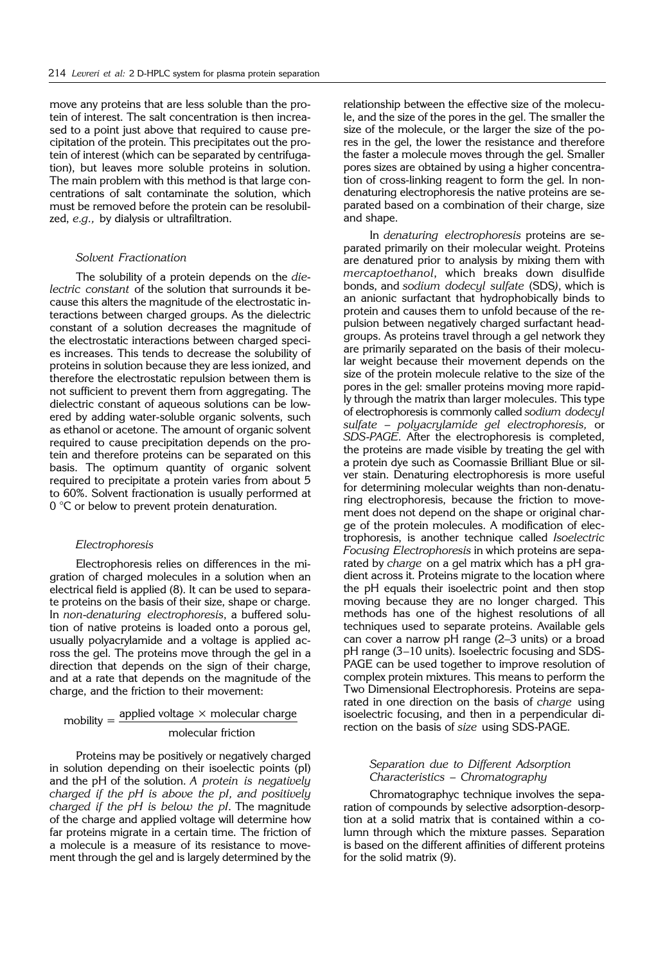move any proteins that are less soluble than the protein of interest. The salt concentration is then increased to a point just above that required to cause precipitation of the protein. This precipitates out the protein of interest (which can be separated by centrifugation), but leaves more soluble proteins in solution. The main problem with this method is that large concentrations of salt contaminate the solution, which must be removed before the protein can be resolubilzed, *e.g.,* by dialysis or ultrafiltration.

### *Solvent Fractionation*

The solubility of a protein depends on the *dielectric constant* of the solution that surrounds it because this alters the magnitude of the electrostatic interactions between charged groups. As the dielectric constant of a solution decreases the magnitude of the electrostatic interactions between charged species increases. This tends to decrease the solubility of proteins in solution because they are less ionized, and therefore the electrostatic repulsion between them is not sufficient to prevent them from aggregating. The dielectric constant of aqueous solutions can be lowered by adding water-soluble organic solvents, such as ethanol or acetone. The amount of organic solvent required to cause precipitation depends on the protein and therefore proteins can be separated on this basis. The optimum quantity of organic solvent required to precipitate a protein varies from about 5 to 60%. Solvent fractionation is usually performed at 0 °C or below to prevent protein denaturation.

#### *Electrophoresis*

Electrophoresis relies on differences in the migration of charged molecules in a solution when an electrical field is applied (8). It can be used to separate proteins on the basis of their size, shape or charge. In *non*-*denaturing electrophoresis*, a buffered solution of native proteins is loaded onto a porous gel, usually polyacrylamide and a voltage is applied across the gel. The proteins move through the gel in a direction that depends on the sign of their charge, and at a rate that depends on the magnitude of the charge, and the friction to their movement:

# mobility =  $\frac{\text{applied voltage} \times \text{molecular charge}}{}$ molecular friction

Proteins may be positively or negatively charged in solution depending on their isoelectic points (pI) and the pH of the solution. *A protein is negatively charged if the pH is above the pI, and positively charged if the pH is below the pI*. The magnitude of the charge and applied voltage will determine how far proteins migrate in a certain time. The friction of a molecule is a measure of its resistance to movement through the gel and is largely determined by the relationship between the effective size of the molecule, and the size of the pores in the gel. The smaller the size of the molecule, or the larger the size of the pores in the gel, the lower the resistance and therefore the faster a molecule moves through the gel. Smaller pores sizes are obtained by using a higher concentration of cross-linking reagent to form the gel. In nondenaturing electrophoresis the native proteins are separated based on a combination of their charge, size and shape.

In *denaturing electrophoresis* proteins are separated primarily on their molecular weight. Proteins are denatured prior to analysis by mixing them with *mercaptoethanol*, which breaks down disulfide bonds, and *sodium dodecyl sulfate* (SDS*)*, which is an anionic surfactant that hydrophobically binds to protein and causes them to unfold because of the repulsion between negatively charged surfactant headgroups. As proteins travel through a gel network they are primarily separated on the basis of their molecular weight because their movement depends on the size of the protein molecule relative to the size of the pores in the gel: smaller proteins moving more rapidly through the matrix than larger molecules. This type of electrophoresis is commonly called *sodium dodecyl sulfate - polyacrylamide gel electrophoresis,* or *SDS*-*PAGE.* After the electrophoresis is completed, the proteins are made visible by treating the gel with a protein dye such as Coomassie Brilliant Blue or silver stain. Denaturing electrophoresis is more useful for determining molecular weights than non-denaturing electrophoresis, because the friction to movement does not depend on the shape or original charge of the protein molecules. A modification of electrophoresis, is another technique called *Isoelectric Focusing Electrophoresis* in which proteins are separated by *charge* on a gel matrix which has a pH gradient across it. Proteins migrate to the location where the pH equals their isoelectric point and then stop moving because they are no longer charged. This methods has one of the highest resolutions of all techniques used to separate proteins. Available gels can cover a narrow pH range  $(2-3 \text{ units})$  or a broad pH range (3-10 units). Isoelectric focusing and SDS-PAGE can be used together to improve resolution of complex protein mixtures. This means to perform the Two Dimensional Electrophoresis. Proteins are separated in one direction on the basis of *charge* using isoelectric focusing, and then in a perpendicular direction on the basis of *size* using SDS-PAGE.

### *Separation due to Different Adsorption Characteristics - Chromatography*

Chromatographyc technique involves the separation of compounds by selective adsorption-desorption at a solid matrix that is contained within a column through which the mixture passes. Separation is based on the different affinities of different proteins for the solid matrix (9).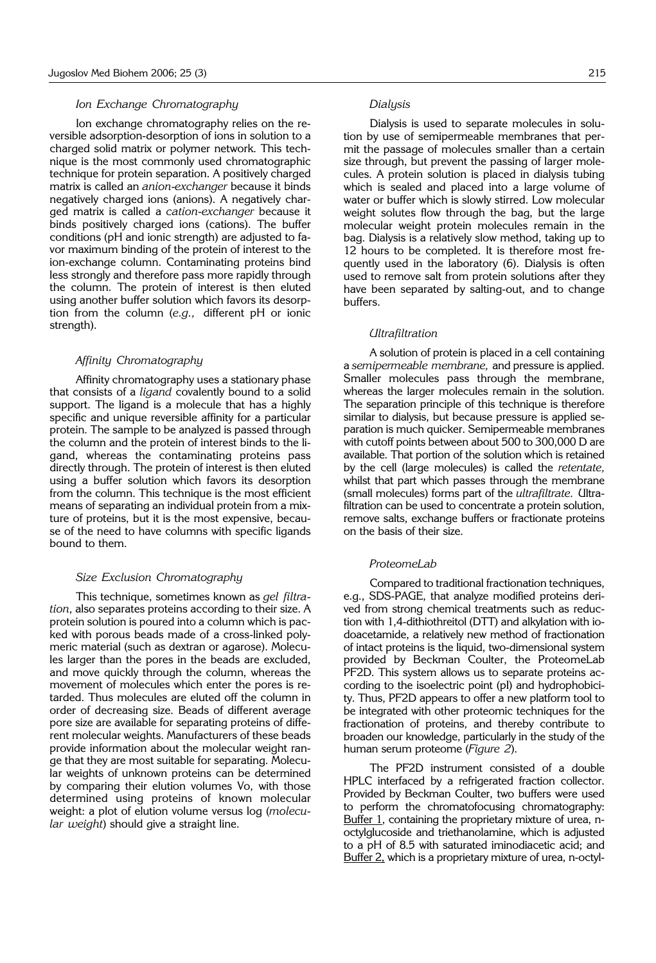#### *Ion Exchange Chromatography*

Ion exchange chromatography relies on the reversible adsorption-desorption of ions in solution to a charged solid matrix or polymer network. This technique is the most commonly used chromatographic technique for protein separation. A positively charged matrix is called an *anion*-*exchanger* because it binds negatively charged ions (anions). A negatively charged matrix is called a *cation*-*exchanger* because it binds positively charged ions (cations). The buffer conditions (pH and ionic strength) are adjusted to favor maximum binding of the protein of interest to the ion-exchange column. Contaminating proteins bind less strongly and therefore pass more rapidly through the column. The protein of interest is then eluted using another buffer solution which favors its desorption from the column (*e.g.,* different pH or ionic strength).

#### *Affinity Chromatography*

Affinity chromatography uses a stationary phase that consists of a *ligand* covalently bound to a solid support. The ligand is a molecule that has a highly specific and unique reversible affinity for a particular protein. The sample to be analyzed is passed through the column and the protein of interest binds to the ligand, whereas the contaminating proteins pass directly through. The protein of interest is then eluted using a buffer solution which favors its desorption from the column. This technique is the most efficient means of separating an individual protein from a mixture of proteins, but it is the most expensive, because of the need to have columns with specific ligands bound to them.

#### *Size Exclusion Chromatography*

This technique, sometimes known as *gel filtration*, also separates proteins according to their size. A protein solution is poured into a column which is packed with porous beads made of a cross-linked polymeric material (such as dextran or agarose). Molecules larger than the pores in the beads are excluded, and move quickly through the column, whereas the movement of molecules which enter the pores is retarded. Thus molecules are eluted off the column in order of decreasing size. Beads of different average pore size are available for separating proteins of different molecular weights. Manufacturers of these beads provide information about the molecular weight range that they are most suitable for separating. Molecular weights of unknown proteins can be determined by comparing their elution volumes Vo, with those determined using proteins of known molecular weight: a plot of elution volume versus log (*molecular weight*) should give a straight line.

#### *Dialysis*

Dialysis is used to separate molecules in solution by use of semipermeable membranes that permit the passage of molecules smaller than a certain size through, but prevent the passing of larger molecules. A protein solution is placed in dialysis tubing which is sealed and placed into a large volume of water or buffer which is slowly stirred. Low molecular weight solutes flow through the bag, but the large molecular weight protein molecules remain in the bag. Dialysis is a relatively slow method, taking up to 12 hours to be completed. It is therefore most frequently used in the laboratory (6). Dialysis is often used to remove salt from protein solutions after they have been separated by salting-out, and to change buffers.

# *Ultrafiltration*

A solution of protein is placed in a cell containing a *semipermeable membrane,* and pressure is applied. Smaller molecules pass through the membrane, whereas the larger molecules remain in the solution. The separation principle of this technique is therefore similar to dialysis, but because pressure is applied separation is much quicker. Semipermeable membranes with cutoff points between about 500 to 300,000 D are available. That portion of the solution which is retained by the cell (large molecules) is called the *retentate,* whilst that part which passes through the membrane (small molecules) forms part of the *ultrafiltrate.* Ultrafiltration can be used to concentrate a protein solution, remove salts, exchange buffers or fractionate proteins on the basis of their size.

#### *ProteomeLab*

Compared to traditional fractionation techniques, e.g., SDS-PAGE, that analyze modified proteins derived from strong chemical treatments such as reduction with 1,4-dithiothreitol (DTT) and alkylation with iodoacetamide, a relatively new method of fractionation of intact proteins is the liquid, two-dimensional system provided by Beckman Coulter, the ProteomeLab PF2D. This system allows us to separate proteins according to the isoelectric point (pI) and hydrophobicity. Thus, PF2D appears to offer a new platform tool to be integrated with other proteomic techniques for the fractionation of proteins, and thereby contribute to broaden our knowledge, particularly in the study of the human serum proteome (*Figure 2*).

The PF2D instrument consisted of a double HPLC interfaced by a refrigerated fraction collector. Provided by Beckman Coulter, two buffers were used to perform the chromatofocusing chromatography: Buffer 1, containing the proprietary mixture of urea, noctylglucoside and triethanolamine, which is adjusted to a pH of 8.5 with saturated iminodiacetic acid; and Buffer 2, which is a proprietary mixture of urea, n-octyl-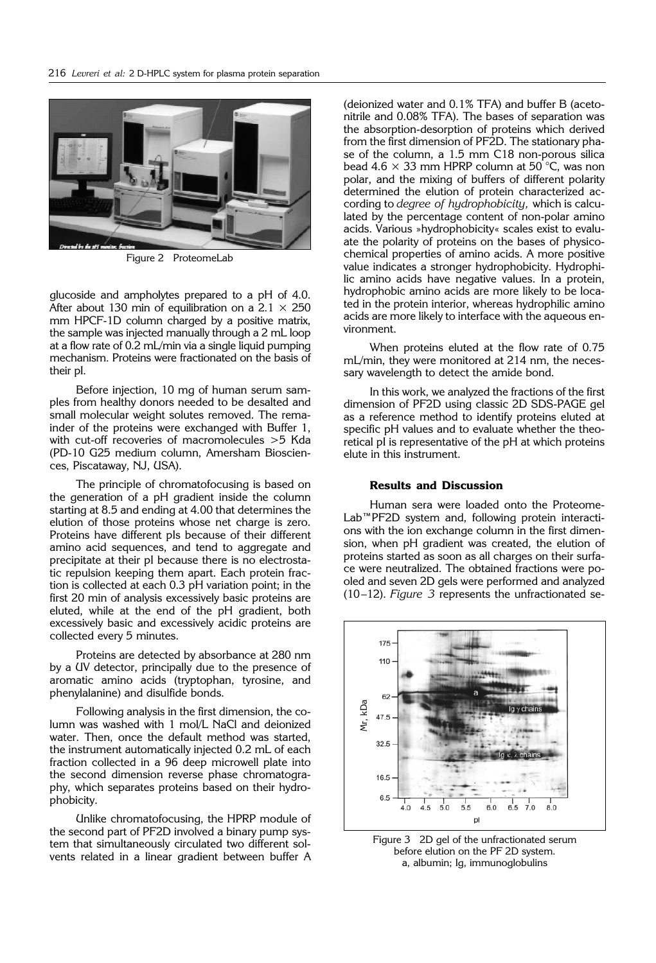

Figure 2 ProteomeLab

glucoside and ampholytes prepared to a pH of 4.0. After about 130 min of equilibration on a 2.1  $\times$  250 mm HPCF-1D column charged by a positive matrix, the sample was injected manually through a 2 mL loop at a flow rate of 0.2 mL/min via a single liquid pumping mechanism. Proteins were fractionated on the basis of their pI.

Before injection, 10 mg of human serum samples from healthy donors needed to be desalted and small molecular weight solutes removed. The remainder of the proteins were exchanged with Buffer 1, with cut-off recoveries of macromolecules >5 Kda (PD-10 G25 medium column, Amersham Biosciences, Piscataway, NJ, USA).

The principle of chromatofocusing is based on the generation of a pH gradient inside the column starting at 8.5 and ending at 4.00 that determines the elution of those proteins whose net charge is zero. Proteins have different pIs because of their different amino acid sequences, and tend to aggregate and precipitate at their pI because there is no electrostatic repulsion keeping them apart. Each protein fraction is collected at each 0.3 pH variation point; in the first 20 min of analysis excessively basic proteins are eluted, while at the end of the pH gradient, both excessively basic and excessively acidic proteins are collected every 5 minutes.

Proteins are detected by absorbance at 280 nm by a UV detector, principally due to the presence of aromatic amino acids (tryptophan, tyrosine, and phenylalanine) and disulfide bonds.

Following analysis in the first dimension, the column was washed with 1 mol/L NaCl and deionized water. Then, once the default method was started, the instrument automatically injected 0.2 mL of each fraction collected in a 96 deep microwell plate into the second dimension reverse phase chromatography, which separates proteins based on their hydrophobicity.

Unlike chromatofocusing, the HPRP module of the second part of PF2D involved a binary pump system that simultaneously circulated two different solvents related in a linear gradient between buffer A

(deionized water and 0.1% TFA) and buffer B (acetonitrile and 0.08% TFA). The bases of separation was the absorption-desorption of proteins which derived from the first dimension of PF2D. The stationary phase of the column, a 1.5 mm C18 non-porous silica bead 4.6  $\times$  33 mm HPRP column at 50 °C, was non polar, and the mixing of buffers of different polarity determined the elution of protein characterized according to *degree of hydrophobicity,* which is calculated by the percentage content of non-polar amino acids. Various »hydrophobicity« scales exist to evaluate the polarity of proteins on the bases of physicochemical properties of amino acids. A more positive value indicates a stronger hydrophobicity. Hydrophilic amino acids have negative values. In a protein, hydrophobic amino acids are more likely to be located in the protein interior, whereas hydrophilic amino acids are more likely to interface with the aqueous environment.

When proteins eluted at the flow rate of 0.75 mL/min, they were monitored at 214 nm, the necessary wavelength to detect the amide bond.

In this work, we analyzed the fractions of the first dimension of PF2D using classic 2D SDS-PAGE gel as a reference method to identify proteins eluted at specific pH values and to evaluate whether the theoretical pI is representative of the pH at which proteins elute in this instrument.

# **Results and Discussion**

Human sera were loaded onto the Proteome-Lab™PF2D system and, following protein interactions with the ion exchange column in the first dimension, when pH gradient was created, the elution of proteins started as soon as all charges on their surface were neutralized. The obtained fractions were pooled and seven 2D gels were performed and analyzed ( $10-12$ ). *Figure 3* represents the unfractionated se-



Figure 3 2D gel of the unfractionated serum before elution on the PF 2D system. a, albumin; Ig, immunoglobulins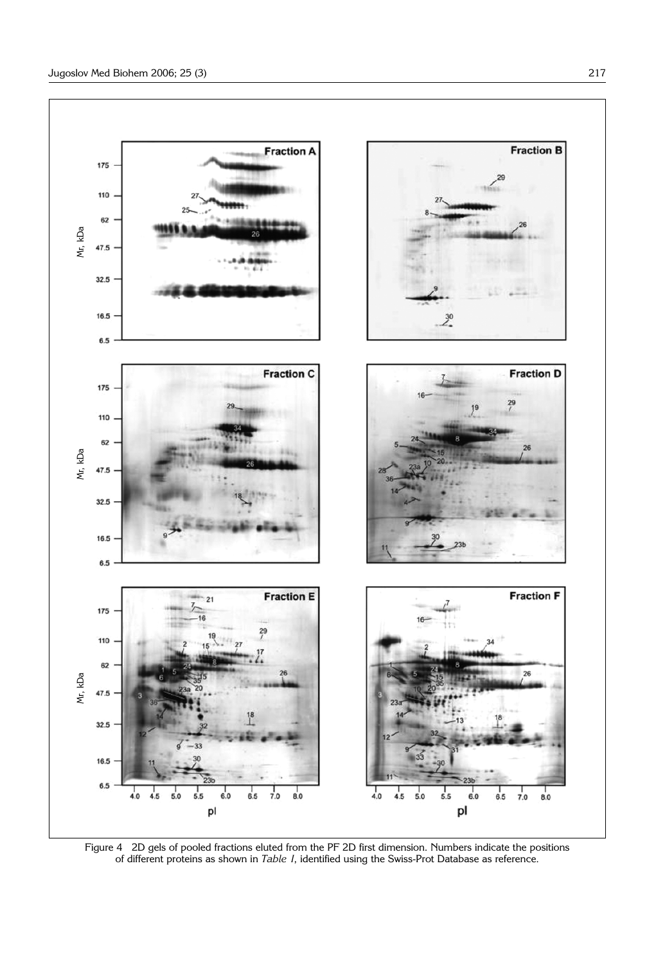

Figure 4 2D gels of pooled fractions eluted from the PF 2D first dimension. Numbers indicate the positions of different proteins as shown in *Table I*, identified using the Swiss-Prot Database as reference.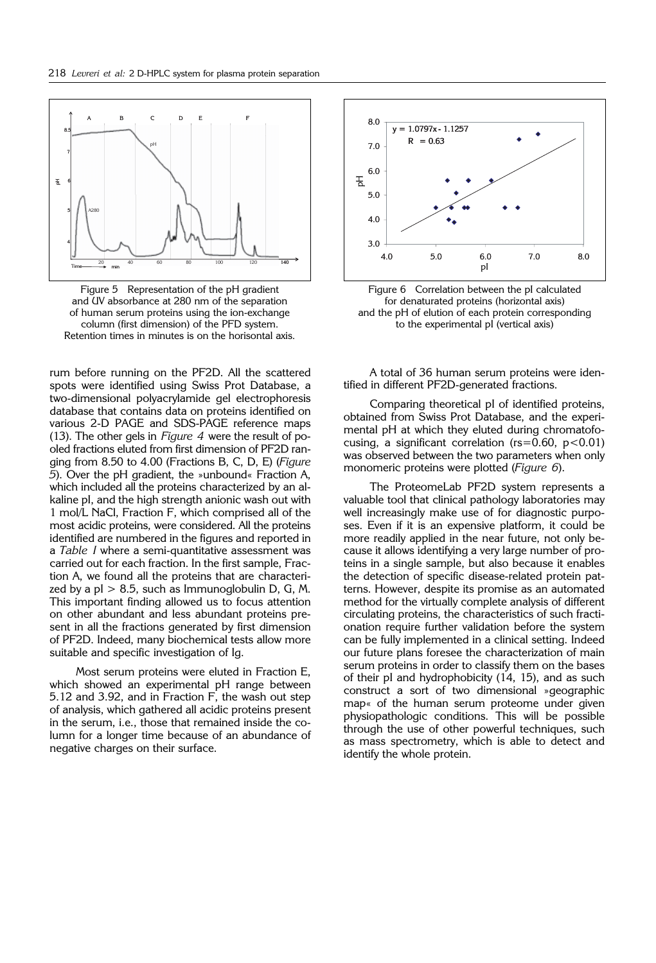

Figure 5 Representation of the pH gradient and UV absorbance at 280 nm of the separation of human serum proteins using the ion-exchange column (first dimension) of the PFD system. Retention times in minutes is on the horisontal axis.

rum before running on the PF2D. All the scattered spots were identified using Swiss Prot Database, a two-dimensional polyacrylamide gel electrophoresis database that contains data on proteins identified on various 2-D PAGE and SDS-PAGE reference maps (13). The other gels in *Figure 4* were the result of pooled fractions eluted from first dimension of PF2D ranging from 8.50 to 4.00 (Fractions B, C, D, E) (*Figure 5*). Over the pH gradient, the »unbound« Fraction A, which included all the proteins characterized by an alkaline pI, and the high strength anionic wash out with 1 mol/L NaCl, Fraction F, which comprised all of the most acidic proteins, were considered. All the proteins identified are numbered in the figures and reported in a *Table I* where a semi-quantitative assessment was carried out for each fraction. In the first sample, Fraction A, we found all the proteins that are characterized by a  $pI > 8.5$ , such as Immunoglobulin D, G, M. This important finding allowed us to focus attention on other abundant and less abundant proteins present in all the fractions generated by first dimension of PF2D. Indeed, many biochemical tests allow more suitable and specific investigation of Ig.

Most serum proteins were eluted in Fraction E, which showed an experimental pH range between 5.12 and 3.92, and in Fraction F, the wash out step of analysis, which gathered all acidic proteins present in the serum, i.e., those that remained inside the column for a longer time because of an abundance of negative charges on their surface.



Figure 6 Correlation between the pI calculated for denaturated proteins (horizontal axis) and the pH of elution of each protein corresponding to the experimental pI (vertical axis)

A total of 36 human serum proteins were identified in different PF2D-generated fractions.

Comparing theoretical pI of identified proteins, obtained from Swiss Prot Database, and the experimental pH at which they eluted during chromatofocusing, a significant correlation ( $rs=0.60$ ,  $p<0.01$ ) was observed between the two parameters when only monomeric proteins were plotted (*Figure 6*).

The ProteomeLab PF2D system represents a valuable tool that clinical pathology laboratories may well increasingly make use of for diagnostic purposes. Even if it is an expensive platform, it could be more readily applied in the near future, not only because it allows identifying a very large number of proteins in a single sample, but also because it enables the detection of specific disease-related protein patterns. However, despite its promise as an automated method for the virtually complete analysis of different circulating proteins, the characteristics of such fractionation require further validation before the system can be fully implemented in a clinical setting. Indeed our future plans foresee the characterization of main serum proteins in order to classify them on the bases of their pI and hydrophobicity (14, 15), and as such construct a sort of two dimensional »geographic map« of the human serum proteome under given physiopathologic conditions. This will be possible through the use of other powerful techniques, such as mass spectrometry, which is able to detect and identify the whole protein.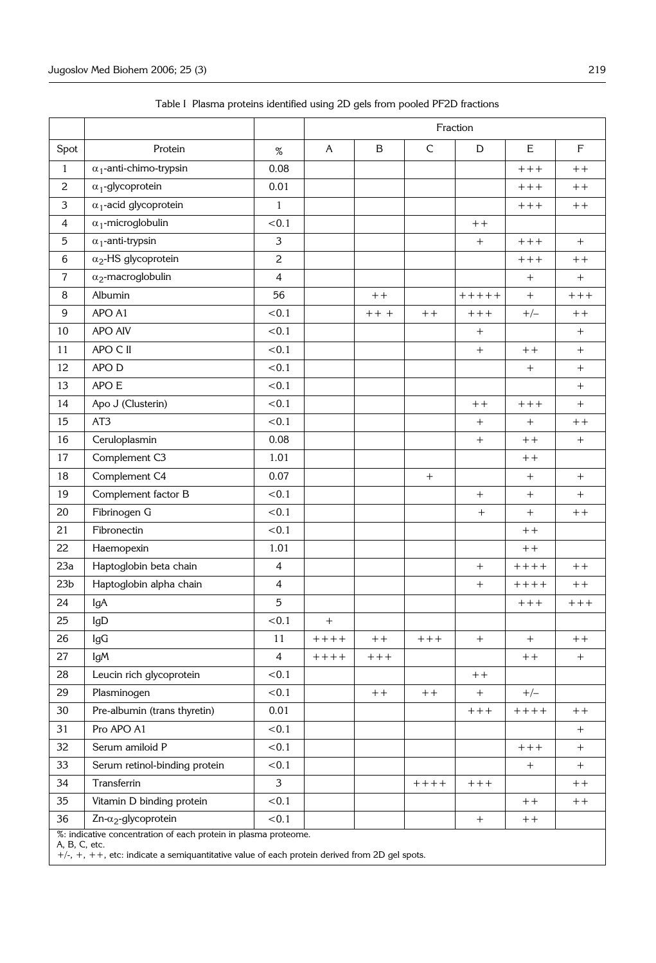|                                                                                                                                                                                           |                                |                | Fraction     |        |             |                  |                   |                  |
|-------------------------------------------------------------------------------------------------------------------------------------------------------------------------------------------|--------------------------------|----------------|--------------|--------|-------------|------------------|-------------------|------------------|
| Spot                                                                                                                                                                                      | Protein                        | $\%$           | $\mathsf{A}$ | B      | $\mathsf C$ | D                | E                 | F                |
| $\mathbf{1}$                                                                                                                                                                              | $\alpha_1$ -anti-chimo-trypsin | 0.08           |              |        |             |                  | $++++$            | $++$             |
| 2                                                                                                                                                                                         | $\alpha_1$ -glycoprotein       | 0.01           |              |        |             |                  | $+++$             | $++$             |
| 3                                                                                                                                                                                         | $\alpha_1$ -acid glycoprotein  | $\mathbf{1}$   |              |        |             |                  | $+++$             | $++$             |
| 4                                                                                                                                                                                         | $\alpha_1$ -microglobulin      | < 0.1          |              |        |             | $++$             |                   |                  |
| 5                                                                                                                                                                                         | $\alpha_1$ -anti-trypsin       | 3              |              |        |             | $+$              | $++++$            | $+$              |
| 6                                                                                                                                                                                         | $\alpha_2$ -HS glycoprotein    | $\overline{c}$ |              |        |             |                  | $+++$             | $++$             |
| $\overline{7}$                                                                                                                                                                            | $\alpha_2$ -macroglobulin      | 4              |              |        |             |                  | $+$               | $\boldsymbol{+}$ |
| 8                                                                                                                                                                                         | Albumin                        | 56             |              | $++$   |             | $+++++$          | $+$               | $+++$            |
| 9                                                                                                                                                                                         | APO A1                         | < 0.1          |              | $++$ + | $++$        | $++++$           | $+/-$             | $++$             |
| 10                                                                                                                                                                                        | <b>APO AIV</b>                 | < 0.1          |              |        |             | $\pm$            |                   | $+$              |
| 11                                                                                                                                                                                        | APO C II                       | < 0.1          |              |        |             | $+$              | $++$              | $+$              |
| 12                                                                                                                                                                                        | APO D                          | < 0.1          |              |        |             |                  | $^{+}$            | $\boldsymbol{+}$ |
| 13                                                                                                                                                                                        | APO E                          | < 0.1          |              |        |             |                  |                   | $+$              |
| 14                                                                                                                                                                                        | Apo J (Clusterin)              | < 0.1          |              |        |             | $++$             | $+++$             | $+$              |
| 15                                                                                                                                                                                        | AT <sub>3</sub>                | < 0.1          |              |        |             | $+$              | $+$               | $++$             |
| 16                                                                                                                                                                                        | Ceruloplasmin                  | 0.08           |              |        |             | $^{+}$           | $+ +$             | $+$              |
| 17                                                                                                                                                                                        | Complement C3                  | 1.01           |              |        |             |                  | $+ +$             |                  |
| 18                                                                                                                                                                                        | Complement C4                  | 0.07           |              |        | $+$         |                  | $^{+}$            | $+$              |
| 19                                                                                                                                                                                        | Complement factor B            | < 0.1          |              |        |             | $+$              | $+$               | $+$              |
| 20                                                                                                                                                                                        | Fibrinogen G                   | < 0.1          |              |        |             | $+$              | $+$               | $++$             |
| 21                                                                                                                                                                                        | Fibronectin                    | < 0.1          |              |        |             |                  | $+ +$             |                  |
| 22                                                                                                                                                                                        | Haemopexin                     | 1.01           |              |        |             |                  | $++$              |                  |
| 23a                                                                                                                                                                                       | Haptoglobin beta chain         | 4              |              |        |             | $^{+}$           | $+++++$           | $++$             |
| 23 <sub>b</sub>                                                                                                                                                                           | Haptoglobin alpha chain        | $\overline{4}$ |              |        |             | $\boldsymbol{+}$ | $++++$            | $++$             |
| 24                                                                                                                                                                                        | IgA                            | 5              |              |        |             |                  | $+++$             | $+++$            |
| 25                                                                                                                                                                                        | IgD                            | < 0.1          | $\ddot{}$    |        |             |                  |                   |                  |
| 26                                                                                                                                                                                        | IgG                            | 11             | $+++++$      | $++$   | $+++$       | $+$              | $^{+}$            | $++$             |
| 27                                                                                                                                                                                        | IgM                            | 4              | $++++$       | $+++$  |             |                  | $++$              | $^{+}$           |
| 28                                                                                                                                                                                        | Leucin rich glycoprotein       | < 0.1          |              |        |             | $++$             |                   |                  |
| 29                                                                                                                                                                                        | Plasminogen                    | < 0.1          |              | $++$   | $++$        | $^{+}$           | $+/-$             |                  |
| 30                                                                                                                                                                                        | Pre-albumin (trans thyretin)   | 0.01           |              |        |             | $++++$           | $++++$            | $++$             |
| 31                                                                                                                                                                                        | Pro APO A1                     | < 0.1          |              |        |             |                  |                   | $^{+}$           |
| 32                                                                                                                                                                                        | Serum amiloid P                | < 0.1          |              |        |             |                  | $++++$            | $^{+}$           |
| 33                                                                                                                                                                                        | Serum retinol-binding protein  | < 0.1          |              |        |             |                  | $\qquad \qquad +$ | $^{+}$           |
| 34                                                                                                                                                                                        | Transferrin                    | 3              |              |        | $++++$      | $+++$            |                   | $+ +$            |
| 35                                                                                                                                                                                        | Vitamin D binding protein      | < 0.1          |              |        |             |                  | $++$              | $++$             |
| 36                                                                                                                                                                                        | Zn- $\alpha_2$ -glycoprotein   | < 0.1          |              |        |             | $+$              | $++$              |                  |
| %: indicative concentration of each protein in plasma proteome.<br>A, B, C, etc.<br>$+/-$ , $+$ , $+$ , etc: indicate a semiquantitative value of each protein derived from 2D gel spots. |                                |                |              |        |             |                  |                   |                  |

Table I Plasma proteins identified using 2D gels from pooled PF2D fractions